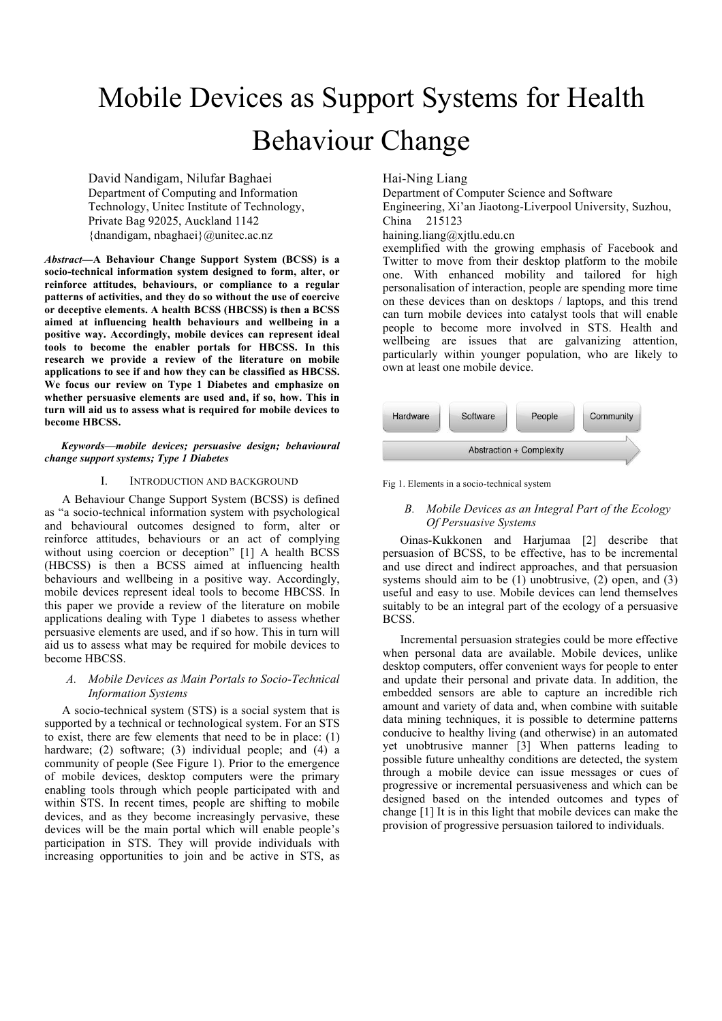# Mobile Devices as Support Systems for Health Behaviour Change

David Nandigam, Nilufar Baghaei Department of Computing and Information Technology, Unitec Institute of Technology, Private Bag 92025, Auckland 1142 {dnandigam, nbaghaei}@unitec.ac.nz

*Abstract—***A Behaviour Change Support System (BCSS) is a socio-technical information system designed to form, alter, or reinforce attitudes, behaviours, or compliance to a regular patterns of activities, and they do so without the use of coercive or deceptive elements. A health BCSS (HBCSS) is then a BCSS aimed at influencing health behaviours and wellbeing in a positive way. Accordingly, mobile devices can represent ideal tools to become the enabler portals for HBCSS. In this research we provide a review of the literature on mobile applications to see if and how they can be classified as HBCSS. We focus our review on Type 1 Diabetes and emphasize on whether persuasive elements are used and, if so, how. This in turn will aid us to assess what is required for mobile devices to become HBCSS.**

*Keywords—mobile devices; persuasive design; behavioural change support systems; Type 1 Diabetes*

## I. INTRODUCTION AND BACKGROUND

A Behaviour Change Support System (BCSS) is defined as "a socio-technical information system with psychological and behavioural outcomes designed to form, alter or reinforce attitudes, behaviours or an act of complying without using coercion or deception" [1] A health BCSS (HBCSS) is then a BCSS aimed at influencing health behaviours and wellbeing in a positive way. Accordingly, mobile devices represent ideal tools to become HBCSS. In this paper we provide a review of the literature on mobile applications dealing with Type 1 diabetes to assess whether persuasive elements are used, and if so how. This in turn will aid us to assess what may be required for mobile devices to become HBCSS.

# *A. Mobile Devices as Main Portals to Socio-Technical Information Systems*

A socio-technical system (STS) is a social system that is supported by a technical or technological system. For an STS to exist, there are few elements that need to be in place: (1) hardware; (2) software; (3) individual people; and (4) a community of people (See Figure 1). Prior to the emergence of mobile devices, desktop computers were the primary enabling tools through which people participated with and within STS. In recent times, people are shifting to mobile devices, and as they become increasingly pervasive, these devices will be the main portal which will enable people's participation in STS. They will provide individuals with increasing opportunities to join and be active in STS, as Hai-Ning Liang

Department of Computer Science and Software Engineering, Xi'an Jiaotong-Liverpool University, Suzhou, China 215123

haining.liang@xjtlu.edu.cn

exemplified with the growing emphasis of Facebook and Twitter to move from their desktop platform to the mobile one. With enhanced mobility and tailored for high personalisation of interaction, people are spending more time on these devices than on desktops / laptops, and this trend can turn mobile devices into catalyst tools that will enable people to become more involved in STS. Health and wellbeing are issues that are galvanizing attention, particularly within younger population, who are likely to own at least one mobile device.



Fig 1. Elements in a socio-technical system

# *B. Mobile Devices as an Integral Part of the Ecology Of Persuasive Systems*

Oinas-Kukkonen and Harjumaa [2] describe that persuasion of BCSS, to be effective, has to be incremental and use direct and indirect approaches, and that persuasion systems should aim to be  $(1)$  unobtrusive,  $(2)$  open, and  $(3)$ useful and easy to use. Mobile devices can lend themselves suitably to be an integral part of the ecology of a persuasive BCSS.

Incremental persuasion strategies could be more effective when personal data are available. Mobile devices, unlike desktop computers, offer convenient ways for people to enter and update their personal and private data. In addition, the embedded sensors are able to capture an incredible rich amount and variety of data and, when combine with suitable data mining techniques, it is possible to determine patterns conducive to healthy living (and otherwise) in an automated yet unobtrusive manner [3] When patterns leading to possible future unhealthy conditions are detected, the system through a mobile device can issue messages or cues of progressive or incremental persuasiveness and which can be designed based on the intended outcomes and types of change [1] It is in this light that mobile devices can make the provision of progressive persuasion tailored to individuals.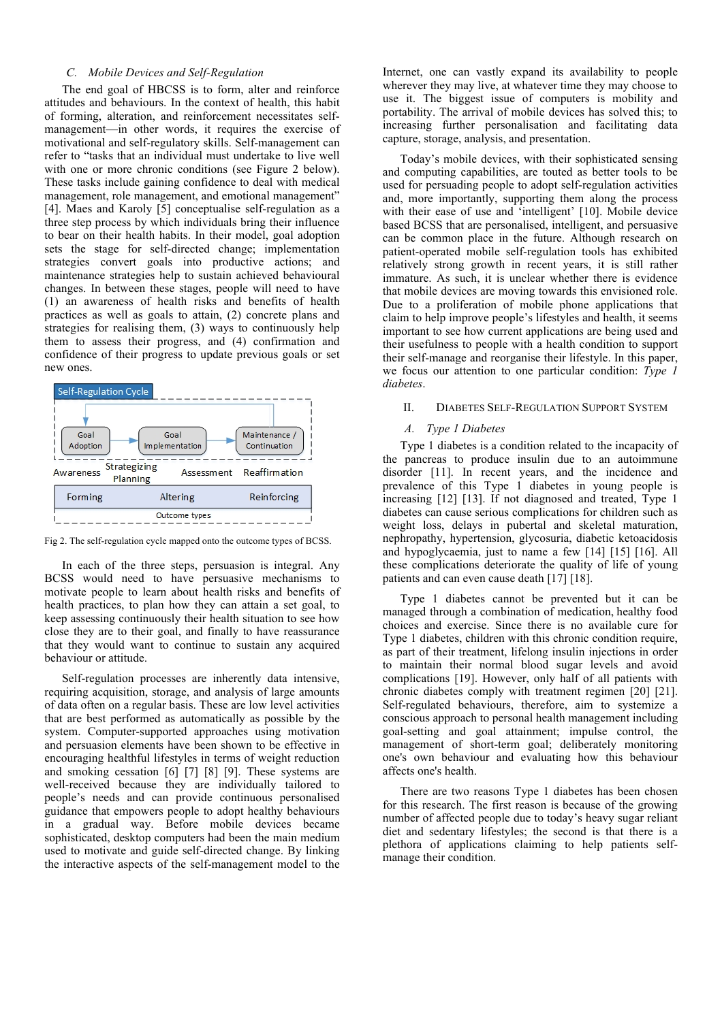# *C. Mobile Devices and Self-Regulation*

The end goal of HBCSS is to form, alter and reinforce attitudes and behaviours. In the context of health, this habit of forming, alteration, and reinforcement necessitates selfmanagement—in other words, it requires the exercise of motivational and self-regulatory skills. Self-management can refer to "tasks that an individual must undertake to live well with one or more chronic conditions (see Figure 2 below). These tasks include gaining confidence to deal with medical management, role management, and emotional management" [4]. Maes and Karoly [5] conceptualise self-regulation as a three step process by which individuals bring their influence to bear on their health habits. In their model, goal adoption sets the stage for self-directed change; implementation strategies convert goals into productive actions; and maintenance strategies help to sustain achieved behavioural changes. In between these stages, people will need to have (1) an awareness of health risks and benefits of health practices as well as goals to attain, (2) concrete plans and strategies for realising them, (3) ways to continuously help them to assess their progress, and (4) confirmation and confidence of their progress to update previous goals or set new ones.





In each of the three steps, persuasion is integral. Any BCSS would need to have persuasive mechanisms to motivate people to learn about health risks and benefits of health practices, to plan how they can attain a set goal, to keep assessing continuously their health situation to see how close they are to their goal, and finally to have reassurance that they would want to continue to sustain any acquired behaviour or attitude.

Self-regulation processes are inherently data intensive, requiring acquisition, storage, and analysis of large amounts of data often on a regular basis. These are low level activities that are best performed as automatically as possible by the system. Computer-supported approaches using motivation and persuasion elements have been shown to be effective in encouraging healthful lifestyles in terms of weight reduction and smoking cessation [6] [7] [8] [9]. These systems are well-received because they are individually tailored to people's needs and can provide continuous personalised guidance that empowers people to adopt healthy behaviours in a gradual way. Before mobile devices became sophisticated, desktop computers had been the main medium used to motivate and guide self-directed change. By linking the interactive aspects of the self-management model to the Internet, one can vastly expand its availability to people wherever they may live, at whatever time they may choose to use it. The biggest issue of computers is mobility and portability. The arrival of mobile devices has solved this; to increasing further personalisation and facilitating data capture, storage, analysis, and presentation.

Today's mobile devices, with their sophisticated sensing and computing capabilities, are touted as better tools to be used for persuading people to adopt self-regulation activities and, more importantly, supporting them along the process with their ease of use and 'intelligent' [10]. Mobile device based BCSS that are personalised, intelligent, and persuasive can be common place in the future. Although research on patient-operated mobile self-regulation tools has exhibited relatively strong growth in recent years, it is still rather immature. As such, it is unclear whether there is evidence that mobile devices are moving towards this envisioned role. Due to a proliferation of mobile phone applications that claim to help improve people's lifestyles and health, it seems important to see how current applications are being used and their usefulness to people with a health condition to support their self-manage and reorganise their lifestyle. In this paper, we focus our attention to one particular condition: *Type 1 diabetes*.

#### II. DIABETES SELF-REGULATION SUPPORT SYSTEM

# *A. Type 1 Diabetes*

Type 1 diabetes is a condition related to the incapacity of the pancreas to produce insulin due to an autoimmune disorder [11]. In recent years, and the incidence and prevalence of this Type 1 diabetes in young people is increasing [12] [13]. If not diagnosed and treated, Type 1 diabetes can cause serious complications for children such as weight loss, delays in pubertal and skeletal maturation, nephropathy, hypertension, glycosuria, diabetic ketoacidosis and hypoglycaemia, just to name a few [14] [15] [16]. All these complications deteriorate the quality of life of young patients and can even cause death [17] [18].

Type 1 diabetes cannot be prevented but it can be managed through a combination of medication, healthy food choices and exercise. Since there is no available cure for Type 1 diabetes, children with this chronic condition require, as part of their treatment, lifelong insulin injections in order to maintain their normal blood sugar levels and avoid complications [19]. However, only half of all patients with chronic diabetes comply with treatment regimen [20] [21]. Self-regulated behaviours, therefore, aim to systemize a conscious approach to personal health management including goal-setting and goal attainment; impulse control, the management of short-term goal; deliberately monitoring one's own behaviour and evaluating how this behaviour affects one's health.

There are two reasons Type 1 diabetes has been chosen for this research. The first reason is because of the growing number of affected people due to today's heavy sugar reliant diet and sedentary lifestyles; the second is that there is a plethora of applications claiming to help patients selfmanage their condition.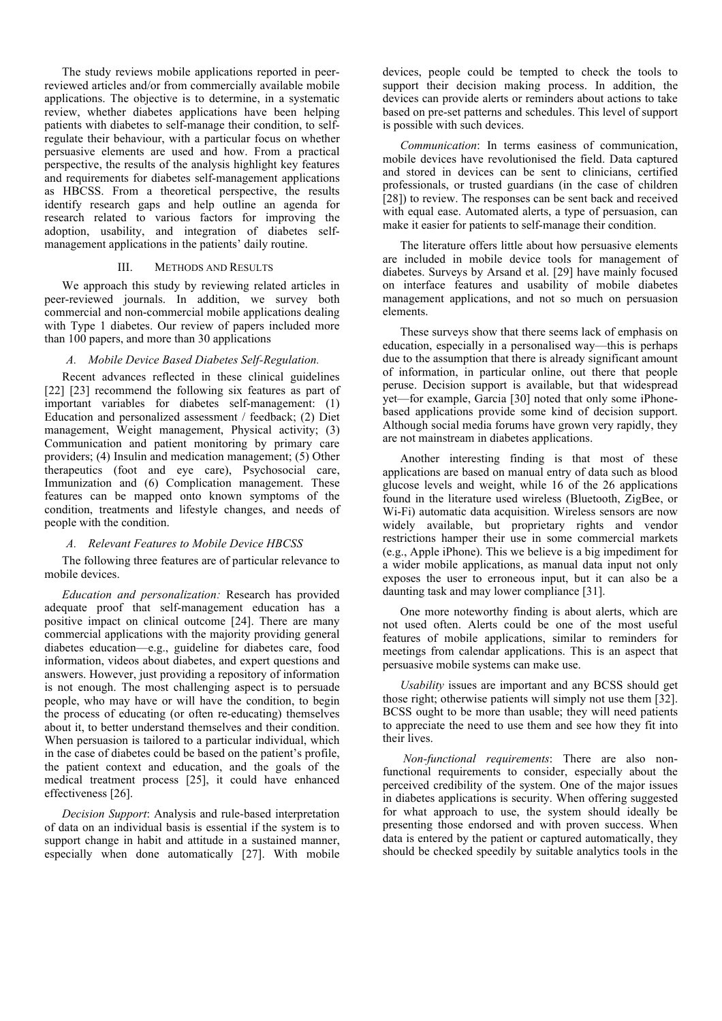The study reviews mobile applications reported in peerreviewed articles and/or from commercially available mobile applications. The objective is to determine, in a systematic review, whether diabetes applications have been helping patients with diabetes to self-manage their condition, to selfregulate their behaviour, with a particular focus on whether persuasive elements are used and how. From a practical perspective, the results of the analysis highlight key features and requirements for diabetes self-management applications as HBCSS. From a theoretical perspective, the results identify research gaps and help outline an agenda for research related to various factors for improving the adoption, usability, and integration of diabetes selfmanagement applications in the patients' daily routine.

## III. METHODS AND RESULTS

We approach this study by reviewing related articles in peer-reviewed journals. In addition, we survey both commercial and non-commercial mobile applications dealing with Type 1 diabetes. Our review of papers included more than 100 papers, and more than 30 applications

## *A. Mobile Device Based Diabetes Self-Regulation.*

Recent advances reflected in these clinical guidelines [22] [23] recommend the following six features as part of important variables for diabetes self-management: (1) Education and personalized assessment / feedback; (2) Diet management, Weight management, Physical activity; (3) Communication and patient monitoring by primary care providers; (4) Insulin and medication management; (5) Other therapeutics (foot and eye care), Psychosocial care, Immunization and (6) Complication management. These features can be mapped onto known symptoms of the condition, treatments and lifestyle changes, and needs of people with the condition.

#### *A. Relevant Features to Mobile Device HBCSS*

The following three features are of particular relevance to mobile devices.

*Education and personalization:* Research has provided adequate proof that self-management education has a positive impact on clinical outcome [24]. There are many commercial applications with the majority providing general diabetes education—e.g., guideline for diabetes care, food information, videos about diabetes, and expert questions and answers. However, just providing a repository of information is not enough. The most challenging aspect is to persuade people, who may have or will have the condition, to begin the process of educating (or often re-educating) themselves about it, to better understand themselves and their condition. When persuasion is tailored to a particular individual, which in the case of diabetes could be based on the patient's profile, the patient context and education, and the goals of the medical treatment process [25], it could have enhanced effectiveness [26].

*Decision Support*: Analysis and rule-based interpretation of data on an individual basis is essential if the system is to support change in habit and attitude in a sustained manner, especially when done automatically [27]. With mobile devices, people could be tempted to check the tools to support their decision making process. In addition, the devices can provide alerts or reminders about actions to take based on pre-set patterns and schedules. This level of support is possible with such devices.

*Communication*: In terms easiness of communication, mobile devices have revolutionised the field. Data captured and stored in devices can be sent to clinicians, certified professionals, or trusted guardians (in the case of children [28]) to review. The responses can be sent back and received with equal ease. Automated alerts, a type of persuasion, can make it easier for patients to self-manage their condition.

The literature offers little about how persuasive elements are included in mobile device tools for management of diabetes. Surveys by Arsand et al. [29] have mainly focused on interface features and usability of mobile diabetes management applications, and not so much on persuasion elements.

These surveys show that there seems lack of emphasis on education, especially in a personalised way—this is perhaps due to the assumption that there is already significant amount of information, in particular online, out there that people peruse. Decision support is available, but that widespread yet—for example, Garcia [30] noted that only some iPhonebased applications provide some kind of decision support. Although social media forums have grown very rapidly, they are not mainstream in diabetes applications.

Another interesting finding is that most of these applications are based on manual entry of data such as blood glucose levels and weight, while 16 of the 26 applications found in the literature used wireless (Bluetooth, ZigBee, or Wi-Fi) automatic data acquisition. Wireless sensors are now widely available, but proprietary rights and vendor restrictions hamper their use in some commercial markets (e.g., Apple iPhone). This we believe is a big impediment for a wider mobile applications, as manual data input not only exposes the user to erroneous input, but it can also be a daunting task and may lower compliance [31].

One more noteworthy finding is about alerts, which are not used often. Alerts could be one of the most useful features of mobile applications, similar to reminders for meetings from calendar applications. This is an aspect that persuasive mobile systems can make use.

*Usability* issues are important and any BCSS should get those right; otherwise patients will simply not use them [32]. BCSS ought to be more than usable; they will need patients to appreciate the need to use them and see how they fit into their lives.

*Non-functional requirements*: There are also nonfunctional requirements to consider, especially about the perceived credibility of the system. One of the major issues in diabetes applications is security. When offering suggested for what approach to use, the system should ideally be presenting those endorsed and with proven success. When data is entered by the patient or captured automatically, they should be checked speedily by suitable analytics tools in the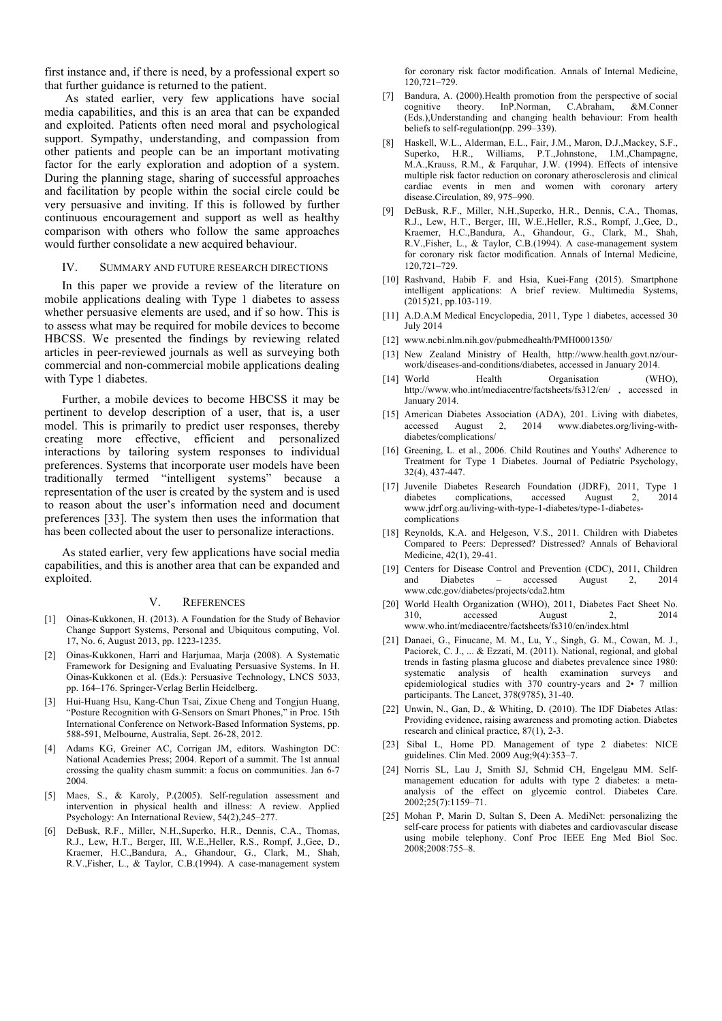first instance and, if there is need, by a professional expert so that further guidance is returned to the patient.

As stated earlier, very few applications have social media capabilities, and this is an area that can be expanded and exploited. Patients often need moral and psychological support. Sympathy, understanding, and compassion from other patients and people can be an important motivating factor for the early exploration and adoption of a system. During the planning stage, sharing of successful approaches and facilitation by people within the social circle could be very persuasive and inviting. If this is followed by further continuous encouragement and support as well as healthy comparison with others who follow the same approaches would further consolidate a new acquired behaviour.

#### IV. SUMMARY AND FUTURE RESEARCH DIRECTIONS

In this paper we provide a review of the literature on mobile applications dealing with Type 1 diabetes to assess whether persuasive elements are used, and if so how. This is to assess what may be required for mobile devices to become HBCSS. We presented the findings by reviewing related articles in peer-reviewed journals as well as surveying both commercial and non-commercial mobile applications dealing with Type 1 diabetes.

Further, a mobile devices to become HBCSS it may be pertinent to develop description of a user, that is, a user model. This is primarily to predict user responses, thereby creating more effective, efficient and personalized interactions by tailoring system responses to individual preferences. Systems that incorporate user models have been traditionally termed "intelligent systems" because a representation of the user is created by the system and is used to reason about the user's information need and document preferences [33]. The system then uses the information that has been collected about the user to personalize interactions.

As stated earlier, very few applications have social media capabilities, and this is another area that can be expanded and exploited.

#### V. REFERENCES

- [1] Oinas-Kukkonen, H. (2013). A Foundation for the Study of Behavior Change Support Systems, Personal and Ubiquitous computing, Vol. 17, No. 6, August 2013, pp. 1223-1235.
- [2] Oinas-Kukkonen, Harri and Harjumaa, Marja (2008). A Systematic Framework for Designing and Evaluating Persuasive Systems. In H. Oinas-Kukkonen et al. (Eds.): Persuasive Technology, LNCS 5033, pp. 164–176. Springer-Verlag Berlin Heidelberg.
- [3] Hui-Huang Hsu, Kang-Chun Tsai, Zixue Cheng and Tongjun Huang, "Posture Recognition with G-Sensors on Smart Phones," in Proc. 15th International Conference on Network-Based Information Systems, pp. 588-591, Melbourne, Australia, Sept. 26-28, 2012.
- [4] Adams KG, Greiner AC, Corrigan JM, editors. Washington DC: National Academies Press; 2004. Report of a summit. The 1st annual crossing the quality chasm summit: a focus on communities. Jan 6-7 2004.
- [5] Maes, S., & Karoly, P.(2005). Self-regulation assessment and intervention in physical health and illness: A review. Applied Psychology: An International Review, 54(2),245–277.
- [6] DeBusk, R.F., Miller, N.H.,Superko, H.R., Dennis, C.A., Thomas, R.J., Lew, H.T., Berger, III, W.E.,Heller, R.S., Rompf, J.,Gee, D., Kraemer, H.C.,Bandura, A., Ghandour, G., Clark, M., Shah, R.V.,Fisher, L., & Taylor, C.B.(1994). A case-management system

for coronary risk factor modification. Annals of Internal Medicine, 120,721–729.

- [7] Bandura, A. (2000). Health promotion from the perspective of social cognitive theory. InP.Norman, C.Abraham, &M.Conner (Eds.),Understanding and changing health behaviour: From health beliefs to self-regulation(pp. 299–339).
- [8] Haskell, W.L., Alderman, E.L., Fair, J.M., Maron, D.J.,Mackey, S.F., Superko, H.R., Williams, P.T.,Johnstone, I.M.,Champagne, M.A.,Krauss, R.M., & Farquhar, J.W. (1994). Effects of intensive multiple risk factor reduction on coronary atherosclerosis and clinical cardiac events in men and women with coronary artery disease.Circulation, 89, 975–990.
- [9] DeBusk, R.F., Miller, N.H.,Superko, H.R., Dennis, C.A., Thomas, R.J., Lew, H.T., Berger, III, W.E.,Heller, R.S., Rompf, J.,Gee, D., Kraemer, H.C.,Bandura, A., Ghandour, G., Clark, M., Shah, R.V.,Fisher, L., & Taylor, C.B.(1994). A case-management system for coronary risk factor modification. Annals of Internal Medicine, 120,721–729.
- [10] Rashvand, Habib F. and Hsia, Kuei-Fang (2015). Smartphone intelligent applications: A brief review. Multimedia Systems, (2015)21, pp.103-119.
- [11] A.D.A.M Medical Encyclopedia, 2011, Type 1 diabetes, accessed 30 July 2014
- [12] www.ncbi.nlm.nih.gov/pubmedhealth/PMH0001350/
- [13] New Zealand Ministry of Health, http://www.health.govt.nz/ourwork/diseases-and-conditions/diabetes, accessed in January 2014.
- [14] World Health Organisation (WHO), http://www.who.int/mediacentre/factsheets/fs312/en/, accessed in January 2014.
- [15] American Diabetes Association (ADA), 201. Living with diabetes, accessed August 2, 2014 www.diabetes.org/living-withdiabetes/complications/
- [16] Greening, L. et al., 2006. Child Routines and Youths' Adherence to Treatment for Type 1 Diabetes. Journal of Pediatric Psychology, 32(4), 437-447.
- [17] Juvenile Diabetes Research Foundation (JDRF), 2011, Type 1 complications, accessed August 2, 2014 www.jdrf.org.au/living-with-type-1-diabetes/type-1-diabetescomplications
- [18] Reynolds, K.A. and Helgeson, V.S., 2011. Children with Diabetes Compared to Peers: Depressed? Distressed? Annals of Behavioral Medicine, 42(1), 29-41.
- [19] Centers for Disease Control and Prevention (CDC), 2011, Children and Diabetes – accessed August 2, 2014 www.cdc.gov/diabetes/projects/cda2.htm
- [20] World Health Organization (WHO), 2011, Diabetes Fact Sheet No. 310, accessed August 2, 2014 www.who.int/mediacentre/factsheets/fs310/en/index.html
- [21] Danaei, G., Finucane, M. M., Lu, Y., Singh, G. M., Cowan, M. J., Paciorek, C. J., ... & Ezzati, M. (2011). National, regional, and global trends in fasting plasma glucose and diabetes prevalence since 1980: systematic analysis of health examination surveys and epidemiological studies with 370 country-years and 2• 7 million participants. The Lancet, 378(9785), 31-40.
- [22] Unwin, N., Gan, D., & Whiting, D. (2010). The IDF Diabetes Atlas: Providing evidence, raising awareness and promoting action. Diabetes research and clinical practice, 87(1), 2-3.
- [23] Sibal L, Home PD. Management of type 2 diabetes: NICE guidelines. Clin Med. 2009 Aug;9(4):353–7.
- [24] Norris SL, Lau J, Smith SJ, Schmid CH, Engelgau MM. Selfmanagement education for adults with type 2 diabetes: a metaanalysis of the effect on glycemic control. Diabetes Care. 2002;25(7):1159–71.
- [25] Mohan P, Marin D, Sultan S, Deen A. MediNet: personalizing the self-care process for patients with diabetes and cardiovascular disease using mobile telephony. Conf Proc IEEE Eng Med Biol Soc. 2008;2008:755–8.